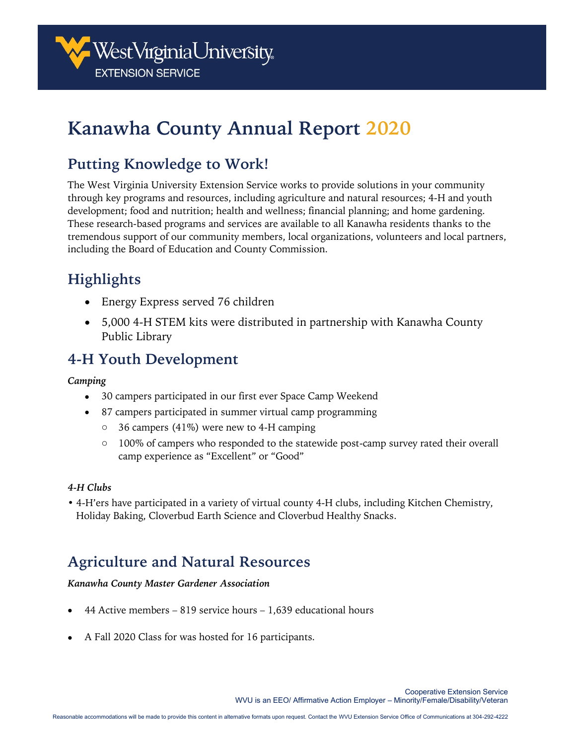

# **Kanawha County Annual Report 2020**

### **Putting Knowledge to Work!**

The West Virginia University Extension Service works to provide solutions in your community through key programs and resources, including agriculture and natural resources; 4-H and youth development; food and nutrition; health and wellness; financial planning; and home gardening. These research-based programs and services are available to all Kanawha residents thanks to the tremendous support of our community members, local organizations, volunteers and local partners, including the Board of Education and County Commission.

## **Highlights**

- Energy Express served 76 children
- 5,000 4-H STEM kits were distributed in partnership with Kanawha County Public Library

### **4-H Youth Development**

#### *Camping*

- 30 campers participated in our first ever Space Camp Weekend
- 87 campers participated in summer virtual camp programming
	- $\circ$  36 campers (41%) were new to 4-H camping
	- o 100% of campers who responded to the statewide post-camp survey rated their overall camp experience as "Excellent" or "Good"

#### *4-H Clubs*

• 4-H'ers have participated in a variety of virtual county 4-H clubs, including Kitchen Chemistry, Holiday Baking, Cloverbud Earth Science and Cloverbud Healthy Snacks.

### **Agriculture and Natural Resources**

#### *Kanawha County Master Gardener Association*

- 44 Active members 819 service hours 1,639 educational hours
- A Fall 2020 Class for was hosted for 16 participants.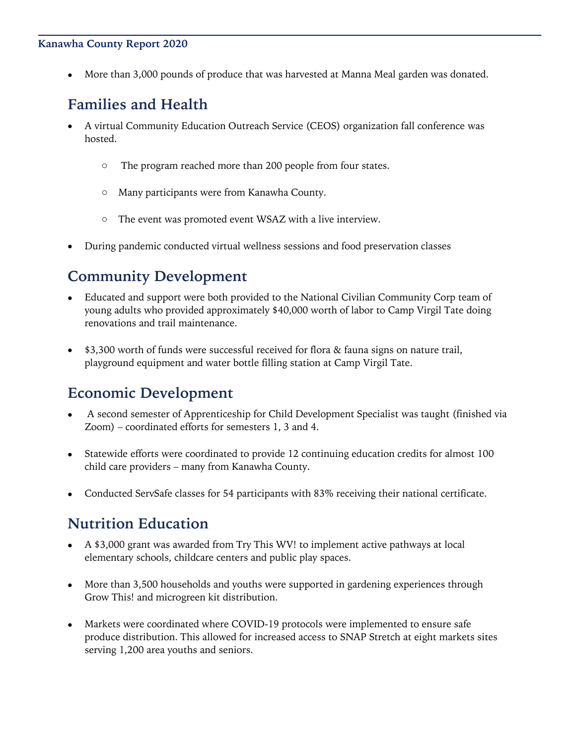#### **Kanawha County Report 2020**

• More than 3,000 pounds of produce that was harvested at Manna Meal garden was donated.

### **Families and Health**

- A virtual Community Education Outreach Service (CEOS) organization fall conference was hosted.
	- o The program reached more than 200 people from four states.
	- o Many participants were from Kanawha County.
	- o The event was promoted event WSAZ with a live interview.
- During pandemic conducted virtual wellness sessions and food preservation classes

### **Community Development**

- Educated and support were both provided to the National Civilian Community Corp team of young adults who provided approximately \$40,000 worth of labor to Camp Virgil Tate doing renovations and trail maintenance.
- \$3,300 worth of funds were successful received for flora & fauna signs on nature trail, playground equipment and water bottle filling station at Camp Virgil Tate.

### **Economic Development**

- A second semester of Apprenticeship for Child Development Specialist was taught (finished via Zoom) – coordinated efforts for semesters 1, 3 and 4.
- Statewide efforts were coordinated to provide 12 continuing education credits for almost 100 child care providers – many from Kanawha County.
- Conducted ServSafe classes for 54 participants with 83% receiving their national certificate.

### **Nutrition Education**

- A \$3,000 grant was awarded from Try This WV! to implement active pathways at local elementary schools, childcare centers and public play spaces.
- More than 3,500 households and youths were supported in gardening experiences through Grow This! and microgreen kit distribution.
- Markets were coordinated where COVID-19 protocols were implemented to ensure safe produce distribution. This allowed for increased access to SNAP Stretch at eight markets sites serving 1,200 area youths and seniors.